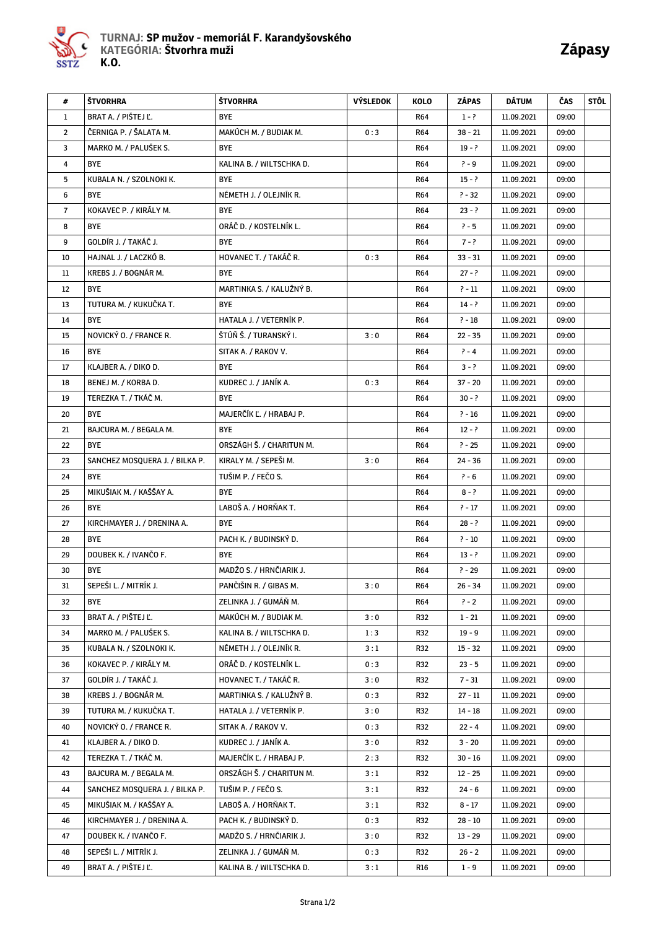

| #              | ŠTVORHRA                       | ŠTVORHRA                 | <b>VÝSLEDOK</b> | KOLO       | ZÁPAS     | DÁTUM      | ČAS   | STÔL |
|----------------|--------------------------------|--------------------------|-----------------|------------|-----------|------------|-------|------|
| 1              | BRAT A. / PIŠTEJ Ľ.            | <b>BYE</b>               |                 | <b>R64</b> | $1 - ?$   | 11.09.2021 | 09:00 |      |
| $\overline{2}$ | ČERNIGA P. / ŠALATA M.         | MAKÚCH M. / BUDIAK M.    | 0:3             | <b>R64</b> | $38 - 21$ | 11.09.2021 | 09:00 |      |
| 3              | MARKO M. / PALUŠEK S.          | <b>BYE</b>               |                 | R64        | $19 - ?$  | 11.09.2021 | 09:00 |      |
| 4              | <b>BYE</b>                     | KALINA B. / WILTSCHKA D. |                 | <b>R64</b> | $? - 9$   | 11.09.2021 | 09:00 |      |
| 5              | KUBALA N. / SZOLNOKI K.        | <b>BYE</b>               |                 | R64        | $15 - ?$  | 11.09.2021 | 09:00 |      |
| 6              | <b>BYE</b>                     | NÉMETH J. / OLEJNÍK R.   |                 | <b>R64</b> | $? - 32$  | 11.09.2021 | 09:00 |      |
| $\overline{7}$ | KOKAVEC P. / KIRÁLY M.         | <b>BYE</b>               |                 | <b>R64</b> | $23 - ?$  | 11.09.2021 | 09:00 |      |
| 8              | <b>BYE</b>                     | ORÁČ D. / KOSTELNÍK L.   |                 | <b>R64</b> | $? - 5$   | 11.09.2021 | 09:00 |      |
| 9              | GOLDÍR J. / TAKÁČ J.           | <b>BYE</b>               |                 | <b>R64</b> | $7 - ?$   | 11.09.2021 | 09:00 |      |
| 10             | HAJNAL J. / LACZKÓ B.          | HOVANEC T. / TAKÁČ R.    | 0:3             | <b>R64</b> | $33 - 31$ | 11.09.2021 | 09:00 |      |
| 11             | KREBS J. / BOGNÁR M.           | <b>BYE</b>               |                 | <b>R64</b> | $27 - ?$  | 11.09.2021 | 09:00 |      |
| 12             | <b>BYE</b>                     | MARTINKA S. / KALUŽNÝ B. |                 | R64        | $? - 11$  | 11.09.2021 | 09:00 |      |
| 13             | TUTURA M. / KUKUČKA T.         | <b>BYE</b>               |                 | <b>R64</b> | $14 - ?$  | 11.09.2021 | 09:00 |      |
| 14             | <b>BYE</b>                     | HATALA J. / VETERNIK P.  |                 | <b>R64</b> | $? - 18$  | 11.09.2021 | 09:00 |      |
| 15             | NOVICKÝ O. / FRANCE R.         | ŠTÚŇ Š. / TURANSKÝ I.    | 3:0             | <b>R64</b> | $22 - 35$ | 11.09.2021 | 09:00 |      |
| 16             | <b>BYE</b>                     | SITAK A. / RAKOV V.      |                 | R64        | $? - 4$   | 11.09.2021 | 09:00 |      |
| 17             | KLAJBER A. / DIKO D.           | <b>BYE</b>               |                 | <b>R64</b> | $3 - ?$   | 11.09.2021 | 09:00 |      |
| 18             | BENEJ M. / KORBA D.            | KUDREC J. / JANÍK A.     | 0:3             | <b>R64</b> | 37 - 20   | 11.09.2021 | 09:00 |      |
| 19             | TEREZKA T. / TKÁČ M.           | <b>BYE</b>               |                 | <b>R64</b> | $30 - ?$  | 11.09.2021 | 09:00 |      |
| 20             | <b>BYE</b>                     | MAJERČÍK Ľ. / HRABAJ P.  |                 | <b>R64</b> | $? - 16$  | 11.09.2021 | 09:00 |      |
| 21             | BAJCURA M. / BEGALA M.         | <b>BYE</b>               |                 | <b>R64</b> | $12 - ?$  | 11.09.2021 | 09:00 |      |
| 22             | <b>BYE</b>                     | ORSZÁGH Š. / CHARITUN M. |                 | R64        | $? - 25$  | 11.09.2021 | 09:00 |      |
| 23             | SANCHEZ MOSQUERA J. / BILKA P. | KIRALY M. / SEPEŠI M.    | 3:0             | <b>R64</b> | $24 - 36$ | 11.09.2021 | 09:00 |      |
| 24             | <b>BYE</b>                     | TUŠIM P. / FEČO S.       |                 | <b>R64</b> | $? - 6$   | 11.09.2021 | 09:00 |      |
| 25             | MIKUŠIAK M. / KAŠŠAY A.        | <b>BYE</b>               |                 | <b>R64</b> | $8 - ?$   | 11.09.2021 | 09:00 |      |
| 26             | <b>BYE</b>                     | LABOŠ A. / HORŇAK T.     |                 | <b>R64</b> | $? - 17$  | 11.09.2021 | 09:00 |      |
| 27             | KIRCHMAYER J. / DRENINA A.     | <b>BYE</b>               |                 | R64        | $28 - ?$  | 11.09.2021 | 09:00 |      |
| 28             | <b>BYE</b>                     | PACH K. / BUDINSKÝ D.    |                 | <b>R64</b> | $? - 10$  | 11.09.2021 | 09:00 |      |
| 29             | DOUBEK K. / IVANČO F.          | <b>BYE</b>               |                 | <b>R64</b> | $13 - ?$  | 11.09.2021 | 09:00 |      |
| 30             | <b>BYE</b>                     | MADŽO S. / HRNČIARIK J.  |                 | <b>R64</b> | $? - 29$  | 11.09.2021 | 09:00 |      |
| 31             | SEPEŠI L. / MITRÍK J.          | PANČIŠIN R. / GIBAS M.   | 3:0             | <b>R64</b> | $26 - 34$ | 11.09.2021 | 09:00 |      |
| 32             | BYE                            | ZELINKA J. / GUMÁŇ M.    |                 | R64        | $? - 2$   | 11.09.2021 | 09:00 |      |
| 33             | BRAT A. / PIŠTEJ Ľ.            | MAKÚCH M. / BUDIAK M.    | 3:0             | R32        | $1 - 21$  | 11.09.2021 | 09:00 |      |
| 34             | MARKO M. / PALUŠEK S.          | KALINA B. / WILTSCHKA D. | 1:3             | R32        | $19 - 9$  | 11.09.2021 | 09:00 |      |
| 35             | KUBALA N. / SZOLNOKI K.        | NÉMETH J. / OLEJNÍK R.   | 3:1             | R32        | $15 - 32$ | 11.09.2021 | 09:00 |      |
| 36             | KOKAVEC P. / KIRÁLY M.         | ORÁČ D. / KOSTELNÍK L.   | 0:3             | R32        | $23 - 5$  | 11.09.2021 | 09:00 |      |
| 37             | GOLDÍR J. / TAKÁČ J.           | HOVANEC T. / TAKÁČ R.    | 3:0             | R32        | $7 - 31$  | 11.09.2021 | 09:00 |      |
| 38             | KREBS J. / BOGNÁR M.           | MARTINKA S. / KALUŽNÝ B. | 0:3             | R32        | 27 - 11   | 11.09.2021 | 09:00 |      |
| 39             | TUTURA M. / KUKUČKA T.         | HATALA J. / VETERNÍK P.  | 3:0             | R32        | $14 - 18$ | 11.09.2021 | 09:00 |      |
| 40             | NOVICKÝ O. / FRANCE R.         | SITAK A. / RAKOV V.      | 0:3             | R32        | $22 - 4$  | 11.09.2021 | 09:00 |      |
| 41             | KLAJBER A. / DIKO D.           | KUDREC J. / JANÍK A.     | 3:0             | R32        | $3 - 20$  | 11.09.2021 | 09:00 |      |
| 42             | TEREZKA T. / TKÁČ M.           | MAJERČÍK Ľ. / HRABAJ P.  | 2:3             | R32        | 30 - 16   | 11.09.2021 | 09:00 |      |
| 43             | BAJCURA M. / BEGALA M.         | ORSZÁGH Š. / CHARITUN M. | 3:1             | R32        | $12 - 25$ | 11.09.2021 | 09:00 |      |
| 44             | SANCHEZ MOSQUERA J. / BILKA P. | TUŠIM P. / FEČO S.       | 3:1             | R32        | 24 - 6    | 11.09.2021 | 09:00 |      |
| 45             | MIKUŠIAK M. / KAŠŠAY A.        | LABOŠ A. / HORŇAK T.     | 3:1             | R32        | $8 - 17$  | 11.09.2021 | 09:00 |      |
| 46             | KIRCHMAYER J. / DRENINA A.     | PACH K. / BUDINSKÝ D.    | 0:3             | R32        | $28 - 10$ | 11.09.2021 | 09:00 |      |
| 47             | DOUBEK K. / IVANČO F.          | MADŽO S. / HRNČIARIK J.  | 3:0             | R32        | $13 - 29$ | 11.09.2021 | 09:00 |      |
| 48             | SEPEŠI L. / MITRÍK J.          | ZELINKA J. / GUMÁŇ M.    | 0:3             | R32        | $26 - 2$  | 11.09.2021 | 09:00 |      |
| 49             | BRAT A. / PIŠTEJ Ľ.            | KALINA B. / WILTSCHKA D. | 3:1             | R16        | $1 - 9$   | 11.09.2021 | 09:00 |      |